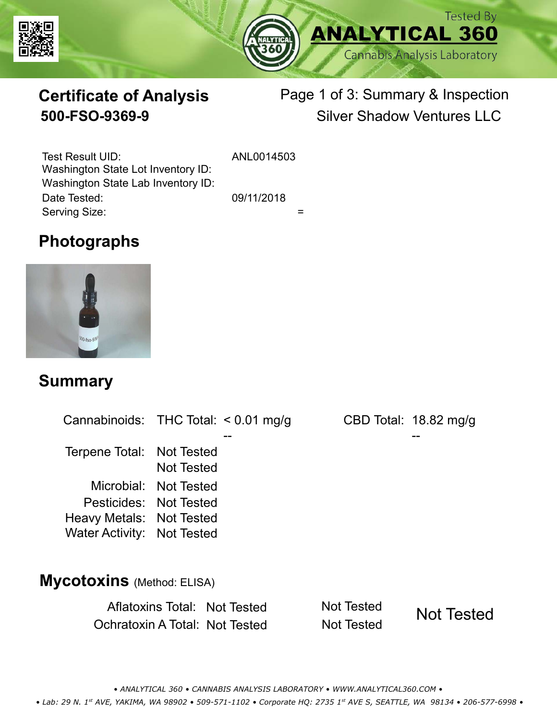



# **Certificate of Analysis**

# Page 1 of 3: Summary & Inspection **500-FSO-9369-9** Silver Shadow Ventures LLC

Serving Size:  $=$ Test Result UID: ANL0014503 Date Tested: 09/11/2018 Washington State Lot Inventory ID: Washington State Lab Inventory ID:

# **Photographs**



### **Summary**

Cannabinoids: THC Total:  $< 0.01$  mg/g Terpene Total: Not Tested Microbial: Not Tested CBD Total: 18.82 mg/g Pesticides: Not Tested Heavy Metals: Not Tested -- -- Not Tested Water Activity: Not Tested **Mycotoxins** (Method: ELISA)

> Aflatoxins Total: Not Tested Not Tested Ochratoxin A Total: Not Tested Not Tested Not Tested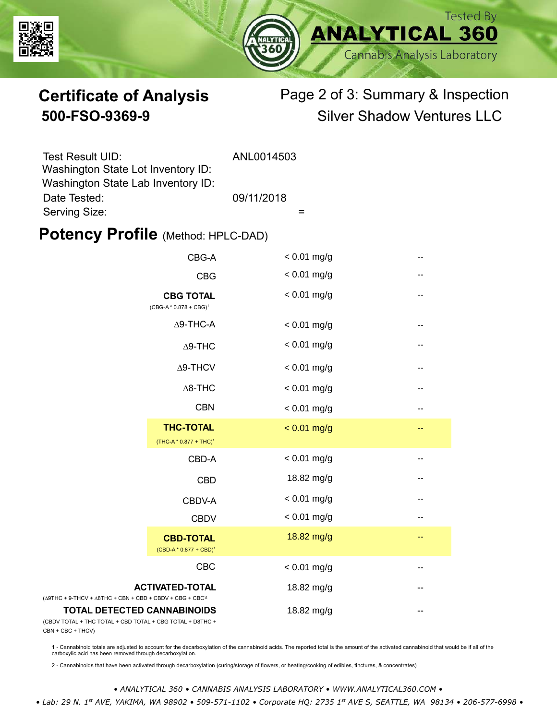



# **Certificate of Analysis** Page 2 of 3: Summary & Inspection **500-FSO-9369-9** Silver Shadow Ventures LLC

| <b>Test Result UID:</b>                                                  | ANL0014503 |
|--------------------------------------------------------------------------|------------|
| Washington State Lot Inventory ID:<br>Washington State Lab Inventory ID: |            |
| Date Tested:                                                             | 09/11/2018 |
| Serving Size:                                                            |            |

### **Potency Profile (Method: HPLC-DAD)**

|                                                                                           | CBG-A                                                  | $< 0.01$ mg/g |    |
|-------------------------------------------------------------------------------------------|--------------------------------------------------------|---------------|----|
|                                                                                           | <b>CBG</b>                                             | $< 0.01$ mg/g | -- |
| <b>CBG TOTAL</b><br>$(CBG-A * 0.878 + CBG)^1$<br>$\Delta$ 9-THC-A<br>$\Delta$ 9-THC       |                                                        | $< 0.01$ mg/g | -- |
|                                                                                           |                                                        | $< 0.01$ mg/g | -- |
|                                                                                           |                                                        | $< 0.01$ mg/g | -- |
|                                                                                           | $\Delta$ 9-THCV                                        | $< 0.01$ mg/g | -- |
|                                                                                           | $\Delta$ 8-THC                                         | $< 0.01$ mg/g | -- |
|                                                                                           | <b>CBN</b>                                             | $< 0.01$ mg/g | -- |
|                                                                                           | <b>THC-TOTAL</b><br>(THC-A * 0.877 + THC) <sup>1</sup> | $< 0.01$ mg/g | -- |
|                                                                                           | CBD-A                                                  | $< 0.01$ mg/g | -- |
|                                                                                           | <b>CBD</b>                                             | 18.82 mg/g    | -- |
|                                                                                           | CBDV-A                                                 | $< 0.01$ mg/g | -- |
|                                                                                           | <b>CBDV</b>                                            | $< 0.01$ mg/g |    |
|                                                                                           | <b>CBD-TOTAL</b><br>$(CBD-A * 0.877 + CBD)^1$          | 18.82 mg/g    | -- |
|                                                                                           | CBC                                                    | $< 0.01$ mg/g |    |
| $+9$ -THCV + $\triangle$ 8THC + CBN + CBD + CBDV + CBG + CBC <sup><math>/2</math></sup>   | <b>ACTIVATED-TOTAL</b>                                 | 18.82 mg/g    |    |
| <b>TOTAL DETECTED CANNABINOIDS</b><br>TOTAL + THC TOTAL + CBD TOTAL + CBG TOTAL + D8THC + |                                                        | 18.82 mg/g    |    |

(CBDV TOTAL + THC TOTAL CBN + CBC + THCV)

(∆9THC + 9-THCV + ∆8THC

1 - Cannabinoid totals are adjusted to account for the decarboxylation of the cannabinoid acids. The reported total is the amount of the activated cannabinoid that would be if all of the<br>carboxylic acid has been removed th

2 - Cannabinoids that have been activated through decarboxylation (curing/storage of flowers, or heating/cooking of edibles, tinctures, & concentrates)

*• ANALYTICAL 360 • CANNABIS ANALYSIS LABORATORY • WWW.ANALYTICAL360.COM • • Lab: 29 N. 1st AVE, YAKIMA, WA 98902 • 509-571-1102 • Corporate HQ: 2735 1st AVE S, SEATTLE, WA 98134 • 206-577-6998 •*